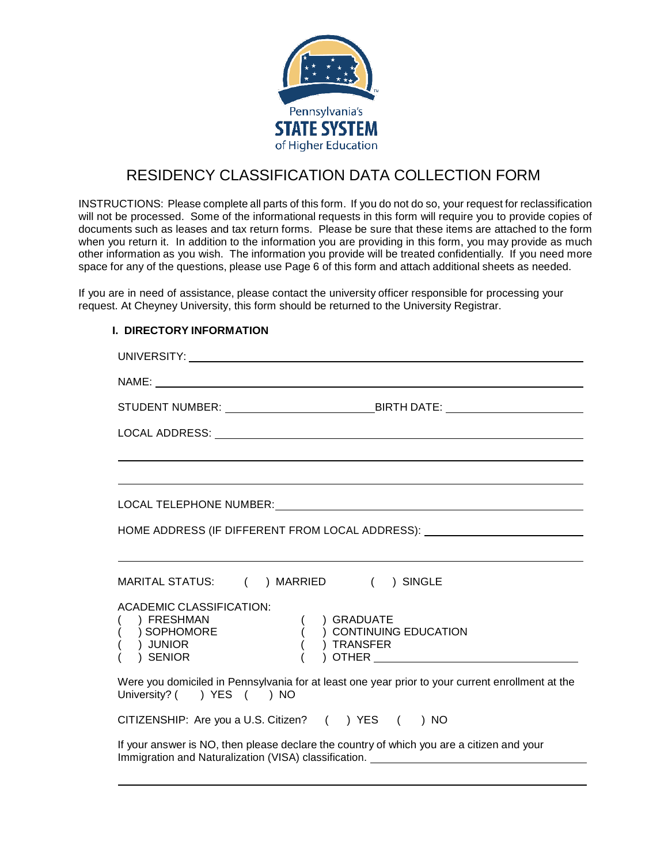

# RESIDENCY CLASSIFICATION DATA COLLECTION FORM

INSTRUCTIONS: Please complete all parts of this form. If you do not do so, your request for reclassification will not be processed. Some of the informational requests in this form will require you to provide copies of documents such as leases and tax return forms. Please be sure that these items are attached to the form when you return it. In addition to the information you are providing in this form, you may provide as much other information as you wish. The information you provide will be treated confidentially. If you need more space for any of the questions, please use Page 6 of this form and attach additional sheets as needed.

If you are in need of assistance, please contact the university officer responsible for processing your request. At Cheyney University, this form should be returned to the University Registrar.

## **I. DIRECTORY INFORMATION**

| HOME ADDRESS (IF DIFFERENT FROM LOCAL ADDRESS): ________________________________                                                                                                                             |
|--------------------------------------------------------------------------------------------------------------------------------------------------------------------------------------------------------------|
|                                                                                                                                                                                                              |
| MARITAL STATUS: ( ) MARRIED ( ) SINGLE                                                                                                                                                                       |
| <b>ACADEMIC CLASSIFICATION:</b><br>) FRESHMAN<br>) GRADUATE<br>$\acute{\text{SOPHOMORE}}$<br>( ) CONTINUING EDUCATION<br>) TRANSFER<br>) JUNIOR<br>OTHER <b>Example 2018</b><br>) SENIOR                     |
| Were you domiciled in Pennsylvania for at least one year prior to your current enrollment at the<br>University? () YES () NO                                                                                 |
| CITIZENSHIP: Are you a U.S. Citizen? ( ) YES ( ) NO                                                                                                                                                          |
| If your answer is NO, then please declare the country of which you are a citizen and your<br>Immigration and Naturalization (VISA) classification. Letteral and the control of the control of the control of |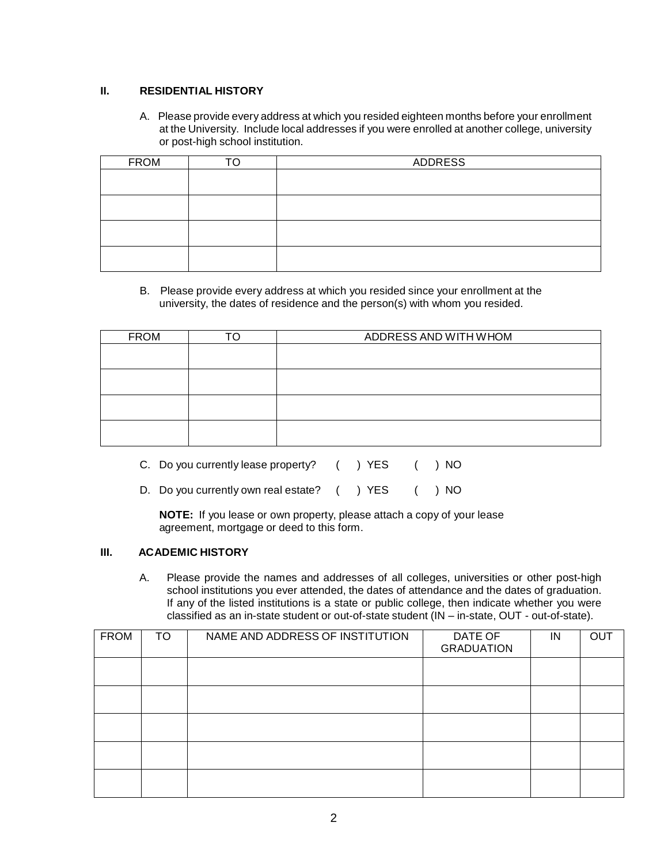## **II. RESIDENTIAL HISTORY**

A. Please provide every address at which you resided eighteen months before your enrollment at the University. Include local addresses if you were enrolled at another college, university or post-high school institution.

| <b>FROM</b> | TΛ | ADDRESS |
|-------------|----|---------|
|             |    |         |
|             |    |         |
|             |    |         |
|             |    |         |
|             |    |         |
|             |    |         |

B. Please provide every address at which you resided since your enrollment at the university, the dates of residence and the person(s) with whom you resided.

| ⊤∩ | ADDRESS AND WITH WHOM |
|----|-----------------------|
|    |                       |
|    |                       |
|    |                       |
|    |                       |
|    |                       |
|    |                       |
|    |                       |
|    |                       |
|    |                       |

- C. Do you currently lease property? ( ) YES ( ) NO
- D. Do you currently own real estate? ( ) YES ( ) NO

**NOTE:** If you lease or own property, please attach a copy of your lease agreement, mortgage or deed to this form.

## **III. ACADEMIC HISTORY**

A. Please provide the names and addresses of all colleges, universities or other post-high school institutions you ever attended, the dates of attendance and the dates of graduation. If any of the listed institutions is a state or public college, then indicate whether you were classified as an in-state student or out-of-state student (IN – in-state, OUT - out-of-state).

| <b>FROM</b> | TO | NAME AND ADDRESS OF INSTITUTION | DATE OF<br><b>GRADUATION</b> | IN | <b>OUT</b> |
|-------------|----|---------------------------------|------------------------------|----|------------|
|             |    |                                 |                              |    |            |
|             |    |                                 |                              |    |            |
|             |    |                                 |                              |    |            |
|             |    |                                 |                              |    |            |
|             |    |                                 |                              |    |            |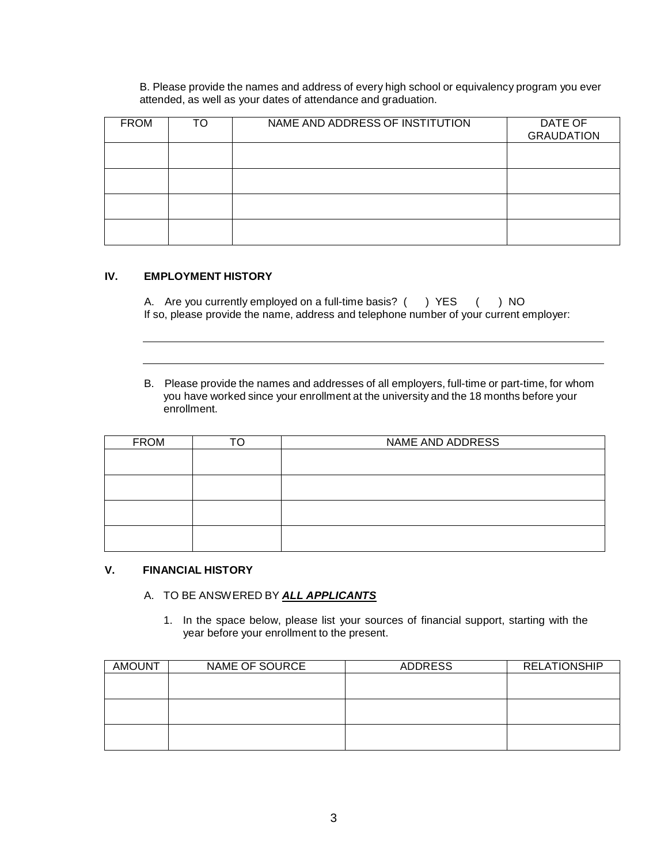B. Please provide the names and address of every high school or equivalency program you ever attended, as well as your dates of attendance and graduation.

| <b>FROM</b> | TO | NAME AND ADDRESS OF INSTITUTION | DATE OF<br><b>GRAUDATION</b> |
|-------------|----|---------------------------------|------------------------------|
|             |    |                                 |                              |
|             |    |                                 |                              |
|             |    |                                 |                              |
|             |    |                                 |                              |

#### **IV. EMPLOYMENT HISTORY**

| A. Are you currently employed on a full-time basis? () YES () NO                       |  |  |
|----------------------------------------------------------------------------------------|--|--|
| If so, please provide the name, address and telephone number of your current employer: |  |  |

B. Please provide the names and addresses of all employers, full-time or part-time, for whom you have worked since your enrollment at the university and the 18 months before your enrollment.

| <b>FROM</b> | ℸ⌒ | NAME AND ADDRESS |
|-------------|----|------------------|
|             |    |                  |
|             |    |                  |
|             |    |                  |
|             |    |                  |
|             |    |                  |
|             |    |                  |
|             |    |                  |
|             |    |                  |

### **V. FINANCIAL HISTORY**

## A. TO BE ANSWERED BY *ALL APPLICANTS*

1. In the space below, please list your sources of financial support, starting with the year before your enrollment to the present.

| <b>AMOUNT</b> | NAME OF SOURCE | ADDRESS | <b>RELATIONSHIP</b> |
|---------------|----------------|---------|---------------------|
|               |                |         |                     |
|               |                |         |                     |
|               |                |         |                     |
|               |                |         |                     |
|               |                |         |                     |
|               |                |         |                     |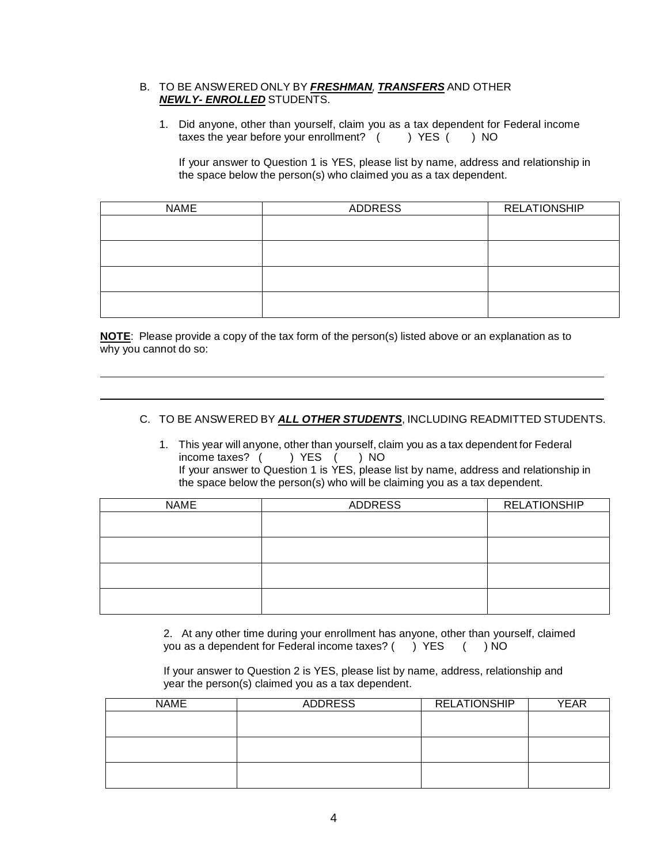#### B. TO BE ANSWERED ONLY BY *FRESHMAN, TRANSFERS* AND OTHER *NEWLY- ENROLLED* STUDENTS.

1. Did anyone, other than yourself, claim you as a tax dependent for Federal income taxes the year before your enrollment?  $($  ) YES  $($  ) NO

If your answer to Question 1 is YES, please list by name, address and relationship in the space below the person(s) who claimed you as a tax dependent.

| <b>NAME</b> | ADDRESS | <b>RELATIONSHIP</b> |
|-------------|---------|---------------------|
|             |         |                     |
|             |         |                     |
|             |         |                     |
|             |         |                     |
|             |         |                     |
|             |         |                     |
|             |         |                     |
|             |         |                     |

**NOTE**: Please provide a copy of the tax form of the person(s) listed above or an explanation as to why you cannot do so:

### C. TO BE ANSWERED BY *ALL OTHER STUDENTS*, INCLUDING READMITTED STUDENTS.

1. This year will anyone, other than yourself, claim you as a tax dependent for Federal income taxes? ( ) YES ( ) NO If your answer to Question 1 is YES, please list by name, address and relationship in the space below the person(s) who will be claiming you as a tax dependent.

| <b>NAME</b> | ADDRESS | <b>RELATIONSHIP</b> |
|-------------|---------|---------------------|
|             |         |                     |
|             |         |                     |
|             |         |                     |
|             |         |                     |
|             |         |                     |
|             |         |                     |
|             |         |                     |
|             |         |                     |

2. At any other time during your enrollment has anyone, other than yourself, claimed you as a dependent for Federal income taxes? () YES () NO

If your answer to Question 2 is YES, please list by name, address, relationship and year the person(s) claimed you as a tax dependent.

| <b>NAME</b> | <b>ADDRESS</b> | <b>RELATIONSHIP</b> | YEAR |
|-------------|----------------|---------------------|------|
|             |                |                     |      |
|             |                |                     |      |
|             |                |                     |      |
|             |                |                     |      |
|             |                |                     |      |
|             |                |                     |      |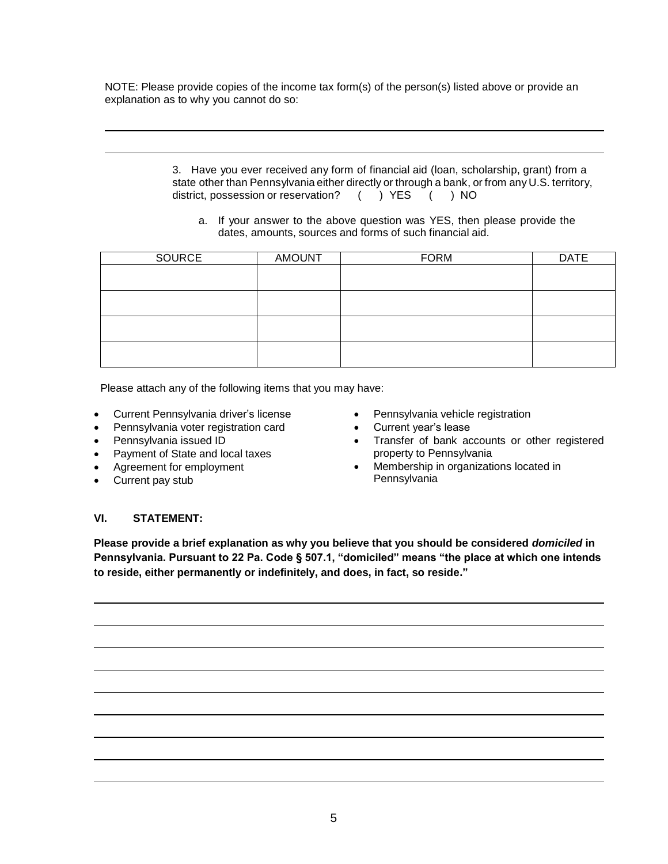NOTE: Please provide copies of the income tax form(s) of the person(s) listed above or provide an explanation as to why you cannot do so:

> 3. Have you ever received any form of financial aid (loan, scholarship, grant) from a state other than Pennsylvania either directly or through a bank, or from any U.S. territory, district, possession or reservation? ( ) YES ( ) NO

a. If your answer to the above question was YES, then please provide the dates, amounts, sources and forms of such financial aid.

| SOURCE | <b>AMOUNT</b> | <b>FORM</b> | <b>DATE</b> |
|--------|---------------|-------------|-------------|
|        |               |             |             |
|        |               |             |             |
|        |               |             |             |
|        |               |             |             |
|        |               |             |             |
|        |               |             |             |
|        |               |             |             |
|        |               |             |             |

Please attach any of the following items that you may have:

- Current Pennsylvania driver's license
- Pennsylvania voter registration card
- Pennsylvania issued ID
- Payment of State and local taxes
- Agreement for employment
- Current pay stub
- Pennsylvania vehicle registration
- Current year's lease
- Transfer of bank accounts or other registered property to Pennsylvania
- Membership in organizations located in Pennsylvania

#### **VI. STATEMENT:**

**Please provide a brief explanation as why you believe that you should be considered** *domiciled* **in Pennsylvania. Pursuant to 22 Pa. Code § 507.1, "domiciled" means "the place at which one intends to reside, either permanently or indefinitely, and does, in fact, so reside."**